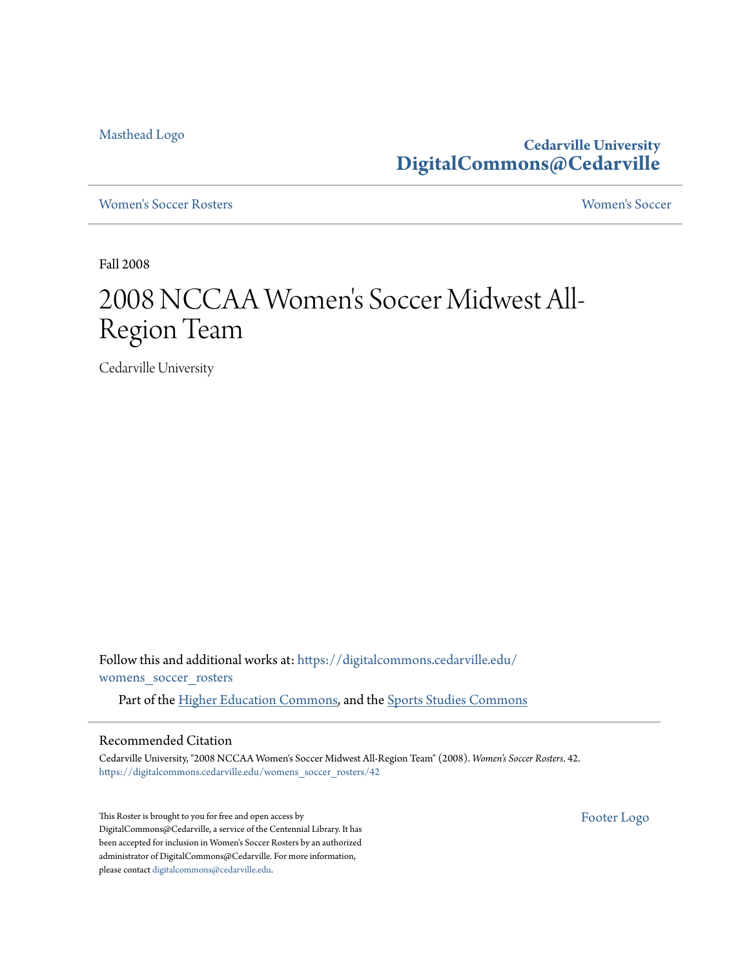[Masthead Logo](http://www.cedarville.edu/?utm_source=digitalcommons.cedarville.edu%2Fwomens_soccer_rosters%2F42&utm_medium=PDF&utm_campaign=PDFCoverPages)

**Cedarville University [DigitalCommons@Cedarville](https://digitalcommons.cedarville.edu?utm_source=digitalcommons.cedarville.edu%2Fwomens_soccer_rosters%2F42&utm_medium=PDF&utm_campaign=PDFCoverPages)**

[Women's Soccer Rosters](https://digitalcommons.cedarville.edu/womens_soccer_rosters?utm_source=digitalcommons.cedarville.edu%2Fwomens_soccer_rosters%2F42&utm_medium=PDF&utm_campaign=PDFCoverPages) [Women's Soccer](https://digitalcommons.cedarville.edu/womens_soccer?utm_source=digitalcommons.cedarville.edu%2Fwomens_soccer_rosters%2F42&utm_medium=PDF&utm_campaign=PDFCoverPages)

Fall 2008

## 2008 NCCAA Women 's Soccer Midwest All-Region Team

Cedarville University

Follow this and additional works at: [https://digitalcommons.cedarville.edu/](https://digitalcommons.cedarville.edu/womens_soccer_rosters?utm_source=digitalcommons.cedarville.edu%2Fwomens_soccer_rosters%2F42&utm_medium=PDF&utm_campaign=PDFCoverPages) [womens\\_soccer\\_rosters](https://digitalcommons.cedarville.edu/womens_soccer_rosters?utm_source=digitalcommons.cedarville.edu%2Fwomens_soccer_rosters%2F42&utm_medium=PDF&utm_campaign=PDFCoverPages)

Part of the [Higher Education Commons](http://network.bepress.com/hgg/discipline/1245?utm_source=digitalcommons.cedarville.edu%2Fwomens_soccer_rosters%2F42&utm_medium=PDF&utm_campaign=PDFCoverPages), and the [Sports Studies Commons](http://network.bepress.com/hgg/discipline/1198?utm_source=digitalcommons.cedarville.edu%2Fwomens_soccer_rosters%2F42&utm_medium=PDF&utm_campaign=PDFCoverPages)

## Recommended Citation

Cedarville University, "2008 NCCAA Women's Soccer Midwest All-Region Team" (2008). *Women's Soccer Rosters*. 42. [https://digitalcommons.cedarville.edu/womens\\_soccer\\_rosters/42](https://digitalcommons.cedarville.edu/womens_soccer_rosters/42?utm_source=digitalcommons.cedarville.edu%2Fwomens_soccer_rosters%2F42&utm_medium=PDF&utm_campaign=PDFCoverPages)

This Roster is brought to you for free and open access by DigitalCommons@Cedarville, a service of the Centennial Library. It has been accepted for inclusion in Women's Soccer Rosters by an authorized administrator of DigitalCommons@Cedarville. For more information, please contact [digitalcommons@cedarville.edu.](mailto:digitalcommons@cedarville.edu)

[Footer Logo](http://www.cedarville.edu/Academics/Library.aspx?utm_source=digitalcommons.cedarville.edu%2Fwomens_soccer_rosters%2F42&utm_medium=PDF&utm_campaign=PDFCoverPages)